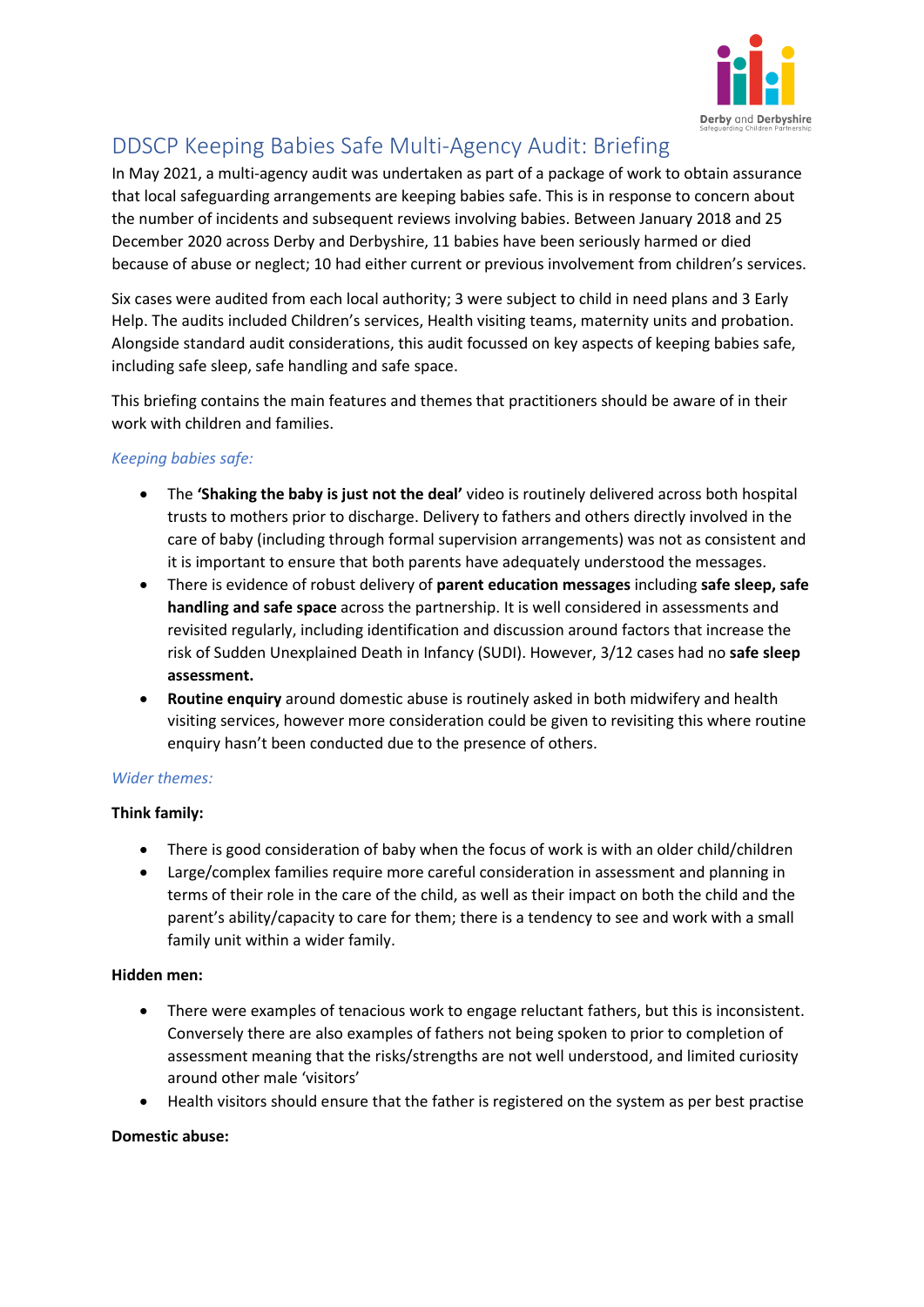

# DDSCP Keeping Babies Safe Multi-Agency Audit: Briefing

In May 2021, a multi-agency audit was undertaken as part of a package of work to obtain assurance that local safeguarding arrangements are keeping babies safe. This is in response to concern about the number of incidents and subsequent reviews involving babies. Between January 2018 and 25 December 2020 across Derby and Derbyshire, 11 babies have been seriously harmed or died because of abuse or neglect; 10 had either current or previous involvement from children's services.

Six cases were audited from each local authority; 3 were subject to child in need plans and 3 Early Help. The audits included Children's services, Health visiting teams, maternity units and probation. Alongside standard audit considerations, this audit focussed on key aspects of keeping babies safe, including safe sleep, safe handling and safe space.

This briefing contains the main features and themes that practitioners should be aware of in their work with children and families.

## *Keeping babies safe:*

- The **'Shaking the baby is just not the deal'** video is routinely delivered across both hospital trusts to mothers prior to discharge. Delivery to fathers and others directly involved in the care of baby (including through formal supervision arrangements) was not as consistent and it is important to ensure that both parents have adequately understood the messages.
- There is evidence of robust delivery of **parent education messages** including **safe sleep, safe handling and safe space** across the partnership. It is well considered in assessments and revisited regularly, including identification and discussion around factors that increase the risk of Sudden Unexplained Death in Infancy (SUDI). However, 3/12 cases had no **safe sleep assessment.**
- **Routine enquiry** around domestic abuse is routinely asked in both midwifery and health visiting services, however more consideration could be given to revisiting this where routine enquiry hasn't been conducted due to the presence of others.

#### *Wider themes:*

#### **Think family:**

- There is good consideration of baby when the focus of work is with an older child/children
- Large/complex families require more careful consideration in assessment and planning in terms of their role in the care of the child, as well as their impact on both the child and the parent's ability/capacity to care for them; there is a tendency to see and work with a small family unit within a wider family.

#### **Hidden men:**

- There were examples of tenacious work to engage reluctant fathers, but this is inconsistent. Conversely there are also examples of fathers not being spoken to prior to completion of assessment meaning that the risks/strengths are not well understood, and limited curiosity around other male 'visitors'
- Health visitors should ensure that the father is registered on the system as per best practise

#### **Domestic abuse:**